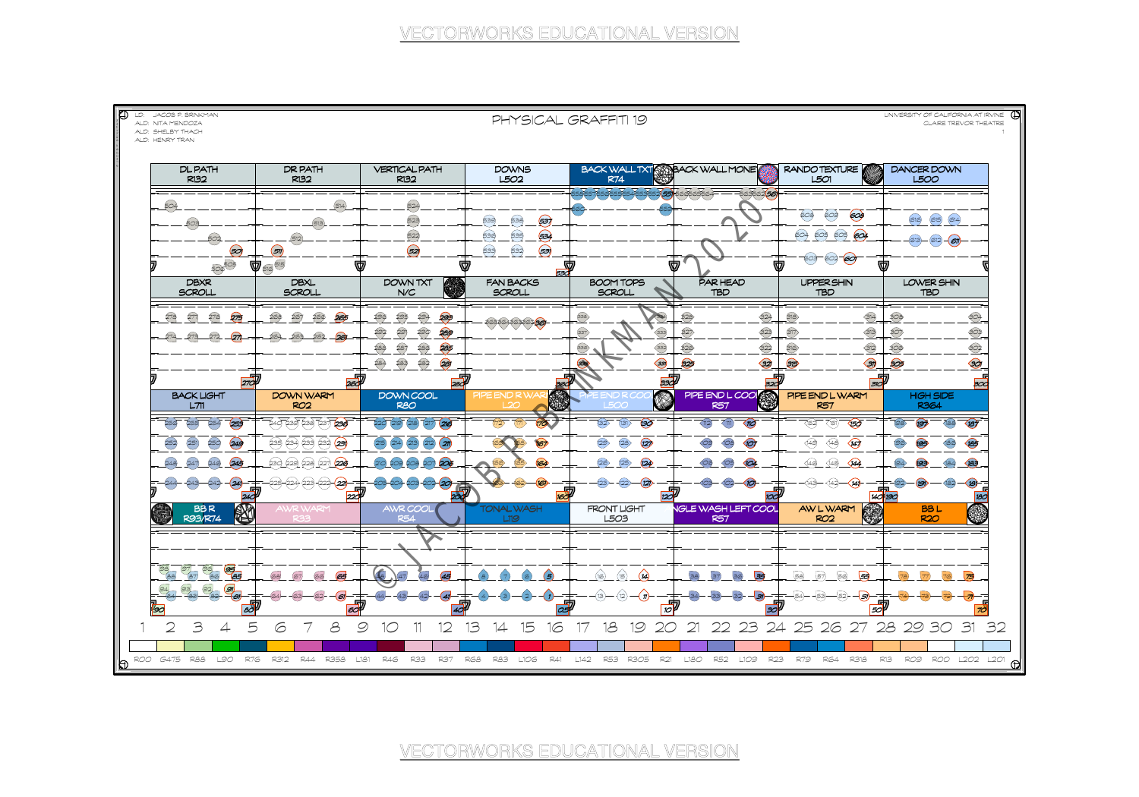

ALD: HENRY TRAN

llə